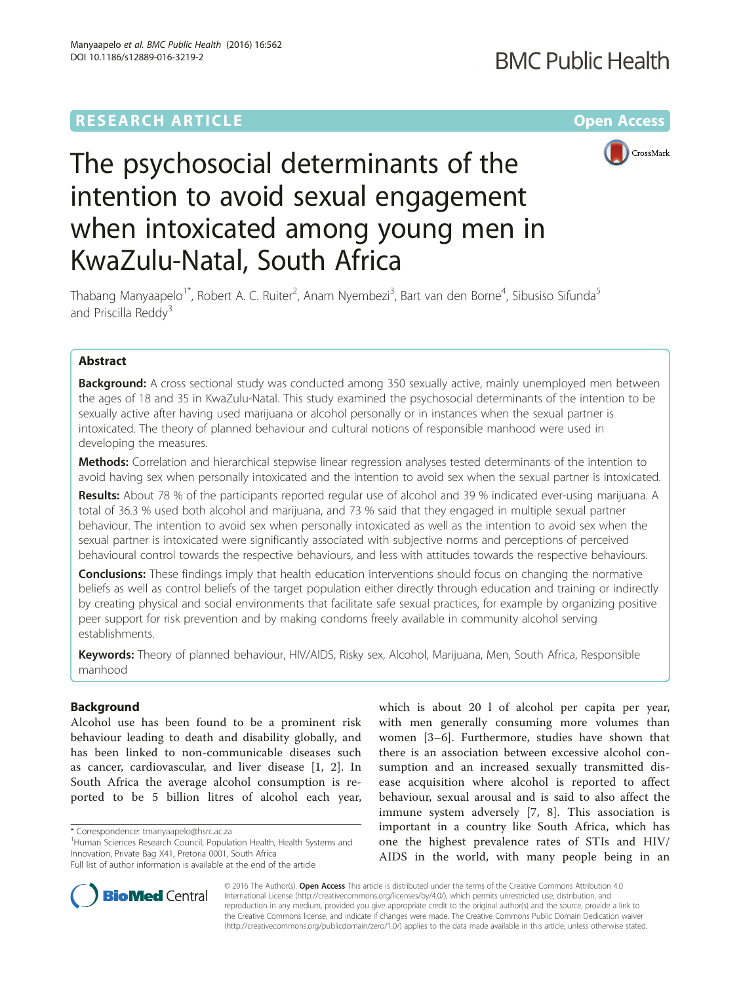# **RESEARCH ARTICLE External Structure Community Community Community Community Community Community Community Community**



# The psychosocial determinants of the intention to avoid sexual engagement when intoxicated among young men in KwaZulu-Natal, South Africa

Thabang Manyaapelo<sup>1\*</sup>, Robert A. C. Ruiter<sup>2</sup>, Anam Nyembezi<sup>3</sup>, Bart van den Borne<sup>4</sup>, Sibusiso Sifunda<sup>5</sup> and Priscilla Reddy<sup>3</sup>

# Abstract

**Background:** A cross sectional study was conducted among 350 sexually active, mainly unemployed men between the ages of 18 and 35 in KwaZulu-Natal. This study examined the psychosocial determinants of the intention to be sexually active after having used marijuana or alcohol personally or in instances when the sexual partner is intoxicated. The theory of planned behaviour and cultural notions of responsible manhood were used in developing the measures.

Methods: Correlation and hierarchical stepwise linear regression analyses tested determinants of the intention to avoid having sex when personally intoxicated and the intention to avoid sex when the sexual partner is intoxicated.

Results: About 78 % of the participants reported regular use of alcohol and 39 % indicated ever-using marijuana. A total of 36.3 % used both alcohol and marijuana, and 73 % said that they engaged in multiple sexual partner behaviour. The intention to avoid sex when personally intoxicated as well as the intention to avoid sex when the sexual partner is intoxicated were significantly associated with subjective norms and perceptions of perceived behavioural control towards the respective behaviours, and less with attitudes towards the respective behaviours.

**Conclusions:** These findings imply that health education interventions should focus on changing the normative beliefs as well as control beliefs of the target population either directly through education and training or indirectly by creating physical and social environments that facilitate safe sexual practices, for example by organizing positive peer support for risk prevention and by making condoms freely available in community alcohol serving establishments.

Keywords: Theory of planned behaviour, HIV/AIDS, Risky sex, Alcohol, Marijuana, Men, South Africa, Responsible manhood

# Background

Alcohol use has been found to be a prominent risk behaviour leading to death and disability globally, and has been linked to non-communicable diseases such as cancer, cardiovascular, and liver disease [\[1](#page-10-0), [2\]](#page-10-0). In South Africa the average alcohol consumption is reported to be 5 billion litres of alcohol each year,

which is about 20 l of alcohol per capita per year, with men generally consuming more volumes than women [[3](#page-10-0)–[6\]](#page-10-0). Furthermore, studies have shown that there is an association between excessive alcohol consumption and an increased sexually transmitted disease acquisition where alcohol is reported to affect behaviour, sexual arousal and is said to also affect the immune system adversely [[7, 8\]](#page-10-0). This association is important in a country like South Africa, which has one the highest prevalence rates of STIs and HIV/ AIDS in the world, with many people being in an



© 2016 The Author(s). Open Access This article is distributed under the terms of the Creative Commons Attribution 4.0 International License [\(http://creativecommons.org/licenses/by/4.0/](http://creativecommons.org/licenses/by/4.0/)), which permits unrestricted use, distribution, and reproduction in any medium, provided you give appropriate credit to the original author(s) and the source, provide a link to the Creative Commons license, and indicate if changes were made. The Creative Commons Public Domain Dedication waiver [\(http://creativecommons.org/publicdomain/zero/1.0/](http://creativecommons.org/publicdomain/zero/1.0/)) applies to the data made available in this article, unless otherwise stated.

<sup>\*</sup> Correspondence: [tmanyaapelo@hsrc.ac.za](mailto:tmanyaapelo@hsrc.ac.za) <sup>1</sup>

<sup>&</sup>lt;sup>1</sup>Human Sciences Research Council, Population Health, Health Systems and Innovation, Private Bag X41, Pretoria 0001, South Africa

Full list of author information is available at the end of the article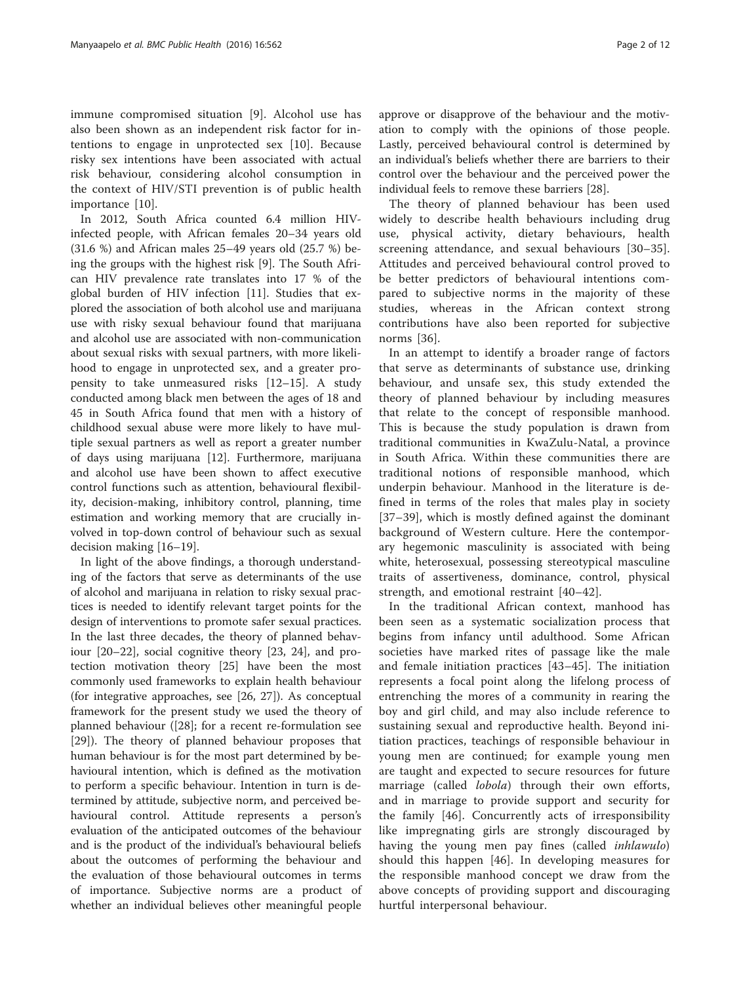immune compromised situation [[9\]](#page-10-0). Alcohol use has also been shown as an independent risk factor for intentions to engage in unprotected sex [\[10](#page-11-0)]. Because risky sex intentions have been associated with actual risk behaviour, considering alcohol consumption in the context of HIV/STI prevention is of public health importance [\[10](#page-11-0)].

In 2012, South Africa counted 6.4 million HIVinfected people, with African females 20–34 years old (31.6 %) and African males 25–49 years old (25.7 %) being the groups with the highest risk [[9\]](#page-10-0). The South African HIV prevalence rate translates into 17 % of the global burden of HIV infection [\[11](#page-11-0)]. Studies that explored the association of both alcohol use and marijuana use with risky sexual behaviour found that marijuana and alcohol use are associated with non-communication about sexual risks with sexual partners, with more likelihood to engage in unprotected sex, and a greater propensity to take unmeasured risks [\[12](#page-11-0)–[15\]](#page-11-0). A study conducted among black men between the ages of 18 and 45 in South Africa found that men with a history of childhood sexual abuse were more likely to have multiple sexual partners as well as report a greater number of days using marijuana [[12](#page-11-0)]. Furthermore, marijuana and alcohol use have been shown to affect executive control functions such as attention, behavioural flexibility, decision-making, inhibitory control, planning, time estimation and working memory that are crucially involved in top-down control of behaviour such as sexual decision making [\[16](#page-11-0)–[19\]](#page-11-0).

In light of the above findings, a thorough understanding of the factors that serve as determinants of the use of alcohol and marijuana in relation to risky sexual practices is needed to identify relevant target points for the design of interventions to promote safer sexual practices. In the last three decades, the theory of planned behaviour [[20](#page-11-0)–[22](#page-11-0)], social cognitive theory [[23, 24\]](#page-11-0), and protection motivation theory [\[25\]](#page-11-0) have been the most commonly used frameworks to explain health behaviour (for integrative approaches, see [[26](#page-11-0), [27](#page-11-0)]). As conceptual framework for the present study we used the theory of planned behaviour ([\[28\]](#page-11-0); for a recent re-formulation see [[29\]](#page-11-0)). The theory of planned behaviour proposes that human behaviour is for the most part determined by behavioural intention, which is defined as the motivation to perform a specific behaviour. Intention in turn is determined by attitude, subjective norm, and perceived behavioural control. Attitude represents a person's evaluation of the anticipated outcomes of the behaviour and is the product of the individual's behavioural beliefs about the outcomes of performing the behaviour and the evaluation of those behavioural outcomes in terms of importance. Subjective norms are a product of whether an individual believes other meaningful people approve or disapprove of the behaviour and the motivation to comply with the opinions of those people. Lastly, perceived behavioural control is determined by an individual's beliefs whether there are barriers to their control over the behaviour and the perceived power the individual feels to remove these barriers [[28\]](#page-11-0).

The theory of planned behaviour has been used widely to describe health behaviours including drug use, physical activity, dietary behaviours, health screening attendance, and sexual behaviours [\[30](#page-11-0)–[35](#page-11-0)]. Attitudes and perceived behavioural control proved to be better predictors of behavioural intentions compared to subjective norms in the majority of these studies, whereas in the African context strong contributions have also been reported for subjective norms [[36\]](#page-11-0).

In an attempt to identify a broader range of factors that serve as determinants of substance use, drinking behaviour, and unsafe sex, this study extended the theory of planned behaviour by including measures that relate to the concept of responsible manhood. This is because the study population is drawn from traditional communities in KwaZulu-Natal, a province in South Africa. Within these communities there are traditional notions of responsible manhood, which underpin behaviour. Manhood in the literature is defined in terms of the roles that males play in society [[37](#page-11-0)–[39](#page-11-0)], which is mostly defined against the dominant background of Western culture. Here the contemporary hegemonic masculinity is associated with being white, heterosexual, possessing stereotypical masculine traits of assertiveness, dominance, control, physical strength, and emotional restraint [\[40](#page-11-0)–[42](#page-11-0)].

In the traditional African context, manhood has been seen as a systematic socialization process that begins from infancy until adulthood. Some African societies have marked rites of passage like the male and female initiation practices [[43](#page-11-0)–[45\]](#page-11-0). The initiation represents a focal point along the lifelong process of entrenching the mores of a community in rearing the boy and girl child, and may also include reference to sustaining sexual and reproductive health. Beyond initiation practices, teachings of responsible behaviour in young men are continued; for example young men are taught and expected to secure resources for future marriage (called *lobola*) through their own efforts, and in marriage to provide support and security for the family [\[46](#page-11-0)]. Concurrently acts of irresponsibility like impregnating girls are strongly discouraged by having the young men pay fines (called inhlawulo) should this happen [\[46](#page-11-0)]. In developing measures for the responsible manhood concept we draw from the above concepts of providing support and discouraging hurtful interpersonal behaviour.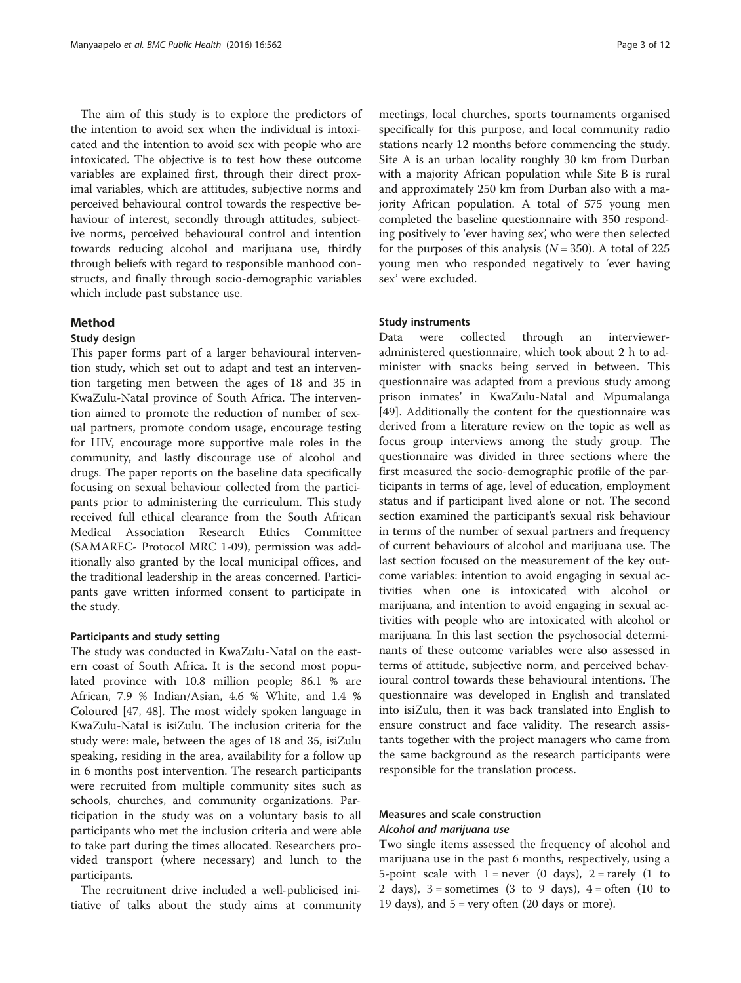The aim of this study is to explore the predictors of the intention to avoid sex when the individual is intoxicated and the intention to avoid sex with people who are intoxicated. The objective is to test how these outcome variables are explained first, through their direct proximal variables, which are attitudes, subjective norms and perceived behavioural control towards the respective behaviour of interest, secondly through attitudes, subjective norms, perceived behavioural control and intention towards reducing alcohol and marijuana use, thirdly through beliefs with regard to responsible manhood constructs, and finally through socio-demographic variables which include past substance use.

## Method

# Study design

This paper forms part of a larger behavioural intervention study, which set out to adapt and test an intervention targeting men between the ages of 18 and 35 in KwaZulu-Natal province of South Africa. The intervention aimed to promote the reduction of number of sexual partners, promote condom usage, encourage testing for HIV, encourage more supportive male roles in the community, and lastly discourage use of alcohol and drugs. The paper reports on the baseline data specifically focusing on sexual behaviour collected from the participants prior to administering the curriculum. This study received full ethical clearance from the South African Medical Association Research Ethics Committee (SAMAREC- Protocol MRC 1-09), permission was additionally also granted by the local municipal offices, and the traditional leadership in the areas concerned. Participants gave written informed consent to participate in the study.

# Participants and study setting

The study was conducted in KwaZulu-Natal on the eastern coast of South Africa. It is the second most populated province with 10.8 million people; 86.1 % are African, 7.9 % Indian/Asian, 4.6 % White, and 1.4 % Coloured [[47, 48](#page-11-0)]. The most widely spoken language in KwaZulu-Natal is isiZulu. The inclusion criteria for the study were: male, between the ages of 18 and 35, isiZulu speaking, residing in the area, availability for a follow up in 6 months post intervention. The research participants were recruited from multiple community sites such as schools, churches, and community organizations. Participation in the study was on a voluntary basis to all participants who met the inclusion criteria and were able to take part during the times allocated. Researchers provided transport (where necessary) and lunch to the participants.

The recruitment drive included a well-publicised initiative of talks about the study aims at community

meetings, local churches, sports tournaments organised specifically for this purpose, and local community radio stations nearly 12 months before commencing the study. Site A is an urban locality roughly 30 km from Durban with a majority African population while Site B is rural and approximately 250 km from Durban also with a majority African population. A total of 575 young men completed the baseline questionnaire with 350 responding positively to 'ever having sex', who were then selected for the purposes of this analysis  $(N = 350)$ . A total of 225 young men who responded negatively to 'ever having sex' were excluded.

#### Study instruments

Data were collected through an intervieweradministered questionnaire, which took about 2 h to administer with snacks being served in between. This questionnaire was adapted from a previous study among prison inmates' in KwaZulu-Natal and Mpumalanga [[49\]](#page-11-0). Additionally the content for the questionnaire was derived from a literature review on the topic as well as focus group interviews among the study group. The questionnaire was divided in three sections where the first measured the socio-demographic profile of the participants in terms of age, level of education, employment status and if participant lived alone or not. The second section examined the participant's sexual risk behaviour in terms of the number of sexual partners and frequency of current behaviours of alcohol and marijuana use. The last section focused on the measurement of the key outcome variables: intention to avoid engaging in sexual activities when one is intoxicated with alcohol or marijuana, and intention to avoid engaging in sexual activities with people who are intoxicated with alcohol or marijuana. In this last section the psychosocial determinants of these outcome variables were also assessed in terms of attitude, subjective norm, and perceived behavioural control towards these behavioural intentions. The questionnaire was developed in English and translated into isiZulu, then it was back translated into English to ensure construct and face validity. The research assistants together with the project managers who came from the same background as the research participants were responsible for the translation process.

# Measures and scale construction Alcohol and marijuana use

Two single items assessed the frequency of alcohol and marijuana use in the past 6 months, respectively, using a 5-point scale with  $1 =$  never (0 days),  $2 =$  rarely (1 to 2 days),  $3 =$  sometimes (3 to 9 days),  $4 =$  often (10 to 19 days), and  $5 = \text{very often}$  (20 days or more).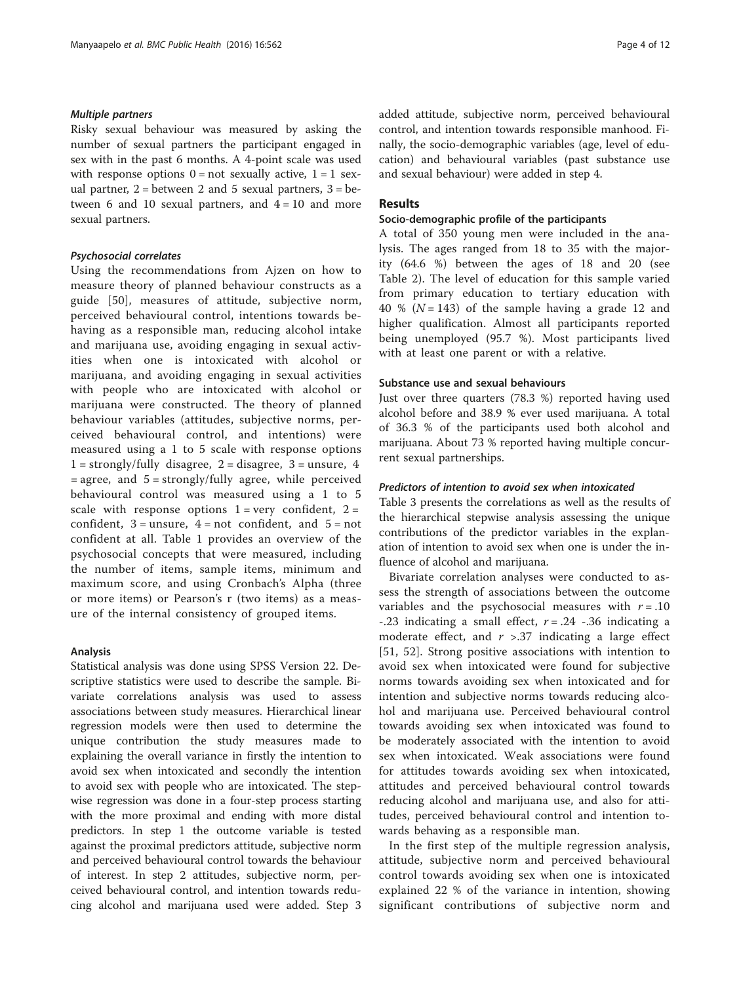## Multiple partners

Risky sexual behaviour was measured by asking the number of sexual partners the participant engaged in sex with in the past 6 months. A 4-point scale was used with response options  $0 = not$  sexually active,  $1 = 1$  sexual partner,  $2 =$  between 2 and 5 sexual partners,  $3 =$  between 6 and 10 sexual partners, and  $4 = 10$  and more sexual partners.

## Psychosocial correlates

Using the recommendations from Ajzen on how to measure theory of planned behaviour constructs as a guide [[50](#page-11-0)], measures of attitude, subjective norm, perceived behavioural control, intentions towards behaving as a responsible man, reducing alcohol intake and marijuana use, avoiding engaging in sexual activities when one is intoxicated with alcohol or marijuana, and avoiding engaging in sexual activities with people who are intoxicated with alcohol or marijuana were constructed. The theory of planned behaviour variables (attitudes, subjective norms, perceived behavioural control, and intentions) were measured using a 1 to 5 scale with response options  $1 =$  strongly/fully disagree,  $2 =$  disagree,  $3 =$  unsure,  $4$ = agree, and 5 = strongly/fully agree, while perceived behavioural control was measured using a 1 to 5 scale with response options  $1 = \text{very confident}, 2 =$ confident,  $3 =$ unsure,  $4 =$ not confident, and  $5 =$ not confident at all. Table [1](#page-4-0) provides an overview of the psychosocial concepts that were measured, including the number of items, sample items, minimum and maximum score, and using Cronbach's Alpha (three or more items) or Pearson's r (two items) as a measure of the internal consistency of grouped items.

### Analysis

Statistical analysis was done using SPSS Version 22. Descriptive statistics were used to describe the sample. Bivariate correlations analysis was used to assess associations between study measures. Hierarchical linear regression models were then used to determine the unique contribution the study measures made to explaining the overall variance in firstly the intention to avoid sex when intoxicated and secondly the intention to avoid sex with people who are intoxicated. The stepwise regression was done in a four-step process starting with the more proximal and ending with more distal predictors. In step 1 the outcome variable is tested against the proximal predictors attitude, subjective norm and perceived behavioural control towards the behaviour of interest. In step 2 attitudes, subjective norm, perceived behavioural control, and intention towards reducing alcohol and marijuana used were added. Step 3 added attitude, subjective norm, perceived behavioural control, and intention towards responsible manhood. Finally, the socio-demographic variables (age, level of education) and behavioural variables (past substance use and sexual behaviour) were added in step 4.

## Results

## Socio-demographic profile of the participants

A total of 350 young men were included in the analysis. The ages ranged from 18 to 35 with the majority (64.6 %) between the ages of 18 and 20 (see Table [2](#page-7-0)). The level of education for this sample varied from primary education to tertiary education with 40 % ( $N = 143$ ) of the sample having a grade 12 and higher qualification. Almost all participants reported being unemployed (95.7 %). Most participants lived with at least one parent or with a relative.

#### Substance use and sexual behaviours

Just over three quarters (78.3 %) reported having used alcohol before and 38.9 % ever used marijuana. A total of 36.3 % of the participants used both alcohol and marijuana. About 73 % reported having multiple concurrent sexual partnerships.

## Predictors of intention to avoid sex when intoxicated

Table [3](#page-7-0) presents the correlations as well as the results of the hierarchical stepwise analysis assessing the unique contributions of the predictor variables in the explanation of intention to avoid sex when one is under the influence of alcohol and marijuana.

Bivariate correlation analyses were conducted to assess the strength of associations between the outcome variables and the psychosocial measures with  $r = .10$ -.23 indicating a small effect,  $r = .24$  -.36 indicating a moderate effect, and  $r > 0.37$  indicating a large effect [[51](#page-11-0), [52](#page-11-0)]. Strong positive associations with intention to avoid sex when intoxicated were found for subjective norms towards avoiding sex when intoxicated and for intention and subjective norms towards reducing alcohol and marijuana use. Perceived behavioural control towards avoiding sex when intoxicated was found to be moderately associated with the intention to avoid sex when intoxicated. Weak associations were found for attitudes towards avoiding sex when intoxicated, attitudes and perceived behavioural control towards reducing alcohol and marijuana use, and also for attitudes, perceived behavioural control and intention towards behaving as a responsible man.

In the first step of the multiple regression analysis, attitude, subjective norm and perceived behavioural control towards avoiding sex when one is intoxicated explained 22 % of the variance in intention, showing significant contributions of subjective norm and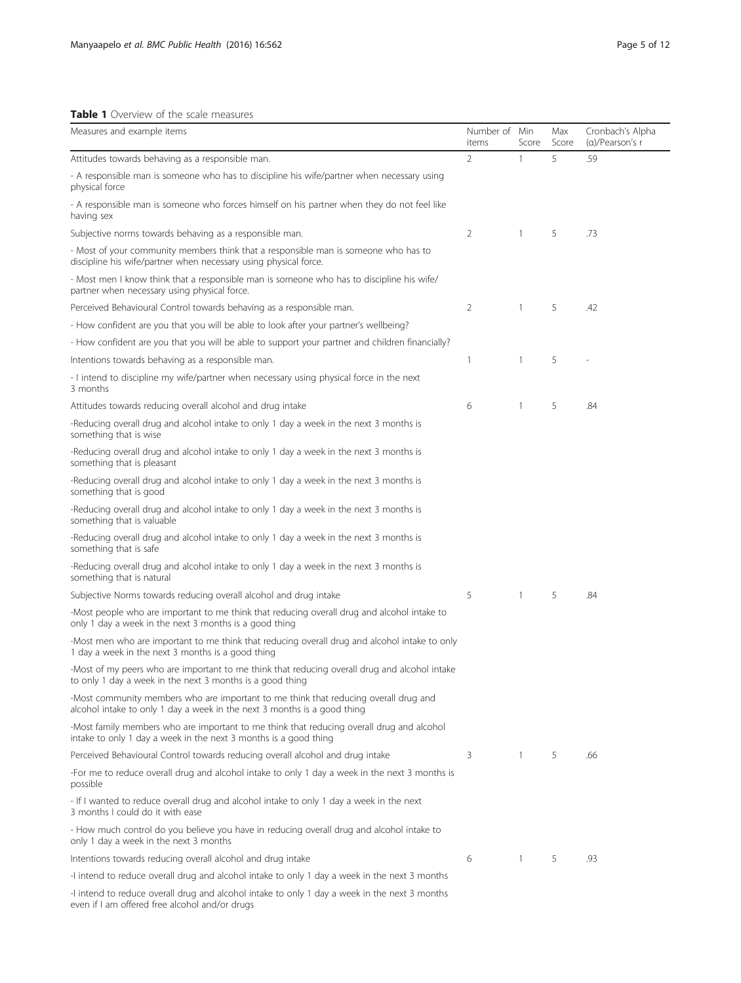# <span id="page-4-0"></span>Table 1 Overview of the scale measures

| Measures and example items                                                                                                                                       | Number of<br>items | Min<br>Score   | Max<br>Score | Cronbach's Alpha<br>(a)/Pearson's r |
|------------------------------------------------------------------------------------------------------------------------------------------------------------------|--------------------|----------------|--------------|-------------------------------------|
| Attitudes towards behaving as a responsible man.                                                                                                                 | 2                  | 1              | 5            | .59                                 |
| - A responsible man is someone who has to discipline his wife/partner when necessary using<br>physical force                                                     |                    |                |              |                                     |
| - A responsible man is someone who forces himself on his partner when they do not feel like<br>having sex                                                        |                    |                |              |                                     |
| Subjective norms towards behaving as a responsible man.                                                                                                          | 2                  | 1              | 5            | .73                                 |
| - Most of your community members think that a responsible man is someone who has to<br>discipline his wife/partner when necessary using physical force.          |                    |                |              |                                     |
| - Most men I know think that a responsible man is someone who has to discipline his wife/<br>partner when necessary using physical force.                        |                    |                |              |                                     |
| Perceived Behavioural Control towards behaving as a responsible man.                                                                                             | 2                  | $\mathbf{1}$   | 5            | .42                                 |
| - How confident are you that you will be able to look after your partner's wellbeing?                                                                            |                    |                |              |                                     |
| - How confident are you that you will be able to support your partner and children financially?                                                                  |                    |                |              |                                     |
| Intentions towards behaving as a responsible man.                                                                                                                | $\mathbf{1}$       | 1              | 5            |                                     |
| - I intend to discipline my wife/partner when necessary using physical force in the next<br>3 months                                                             |                    |                |              |                                     |
| Attitudes towards reducing overall alcohol and drug intake                                                                                                       | 6                  | 1              | 5            | .84                                 |
| -Reducing overall drug and alcohol intake to only 1 day a week in the next 3 months is<br>something that is wise                                                 |                    |                |              |                                     |
| -Reducing overall drug and alcohol intake to only 1 day a week in the next 3 months is<br>something that is pleasant                                             |                    |                |              |                                     |
| -Reducing overall drug and alcohol intake to only 1 day a week in the next 3 months is<br>something that is good                                                 |                    |                |              |                                     |
| -Reducing overall drug and alcohol intake to only 1 day a week in the next 3 months is<br>something that is valuable                                             |                    |                |              |                                     |
| -Reducing overall drug and alcohol intake to only 1 day a week in the next 3 months is<br>something that is safe                                                 |                    |                |              |                                     |
| -Reducing overall drug and alcohol intake to only 1 day a week in the next 3 months is<br>something that is natural                                              |                    |                |              |                                     |
| Subjective Norms towards reducing overall alcohol and drug intake                                                                                                | 5                  | $\mathbf{1}$   | 5            | .84                                 |
| -Most people who are important to me think that reducing overall drug and alcohol intake to<br>only 1 day a week in the next 3 months is a good thing            |                    |                |              |                                     |
| -Most men who are important to me think that reducing overall drug and alcohol intake to only<br>1 day a week in the next 3 months is a good thing               |                    |                |              |                                     |
| -Most of my peers who are important to me think that reducing overall drug and alcohol intake<br>to only 1 day a week in the next 3 months is a good thing       |                    |                |              |                                     |
| -Most community members who are important to me think that reducing overall drug and<br>alcohol intake to only 1 day a week in the next 3 months is a good thing |                    |                |              |                                     |
| -Most family members who are important to me think that reducing overall drug and alcohol<br>intake to only 1 day a week in the next 3 months is a good thing    |                    |                |              |                                     |
| Perceived Behavioural Control towards reducing overall alcohol and drug intake                                                                                   | 3                  | $\overline{1}$ | 5            | .66                                 |
| -For me to reduce overall drug and alcohol intake to only 1 day a week in the next 3 months is<br>possible                                                       |                    |                |              |                                     |
| - If I wanted to reduce overall drug and alcohol intake to only 1 day a week in the next<br>3 months I could do it with ease                                     |                    |                |              |                                     |
| - How much control do you believe you have in reducing overall drug and alcohol intake to<br>only 1 day a week in the next 3 months                              |                    |                |              |                                     |
| Intentions towards reducing overall alcohol and drug intake                                                                                                      | 6                  | $\mathbf{1}$   | 5            | .93                                 |
| -I intend to reduce overall drug and alcohol intake to only 1 day a week in the next 3 months                                                                    |                    |                |              |                                     |
| -I intend to reduce overall drug and alcohol intake to only 1 day a week in the next 3 months<br>even if I am offered free alcohol and/or drugs                  |                    |                |              |                                     |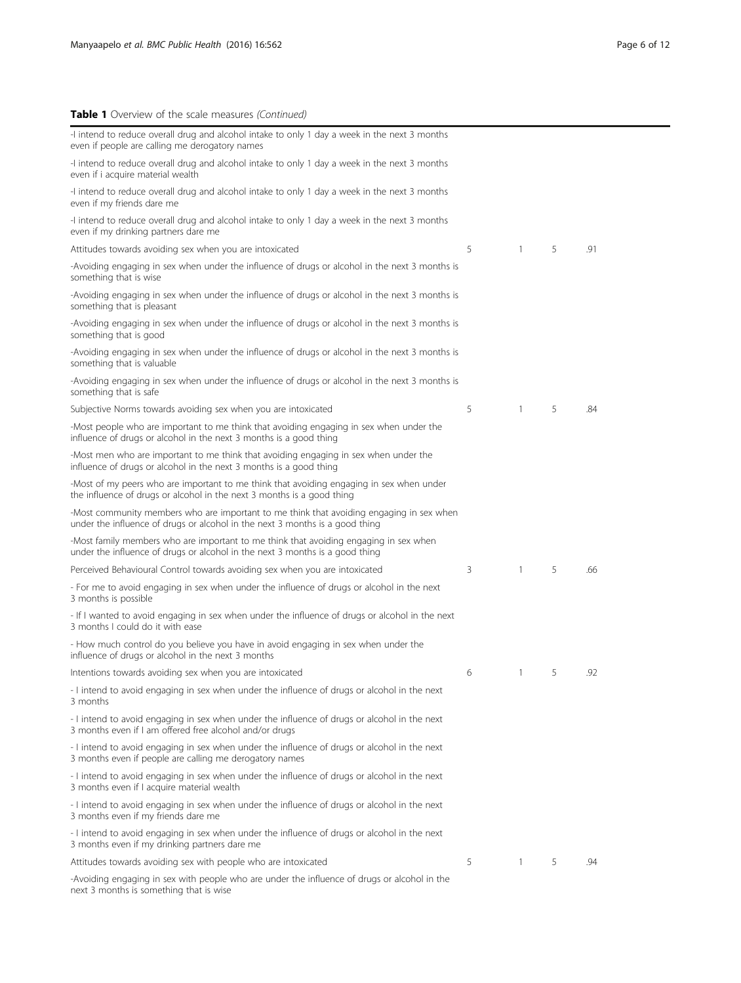# Table 1 Overview of the scale measures (Continued)

| -I intend to reduce overall drug and alcohol intake to only 1 day a week in the next 3 months<br>even if people are calling me derogatory names                          |   |                |   |     |
|--------------------------------------------------------------------------------------------------------------------------------------------------------------------------|---|----------------|---|-----|
| -I intend to reduce overall drug and alcohol intake to only 1 day a week in the next 3 months<br>even if i acquire material wealth                                       |   |                |   |     |
| -I intend to reduce overall drug and alcohol intake to only 1 day a week in the next 3 months<br>even if my friends dare me                                              |   |                |   |     |
| -I intend to reduce overall drug and alcohol intake to only 1 day a week in the next 3 months<br>even if my drinking partners dare me                                    |   |                |   |     |
| Attitudes towards avoiding sex when you are intoxicated                                                                                                                  | 5 | $\mathbf{1}$   | 5 | .91 |
| -Avoiding engaging in sex when under the influence of drugs or alcohol in the next 3 months is<br>something that is wise                                                 |   |                |   |     |
| -Avoiding engaging in sex when under the influence of drugs or alcohol in the next 3 months is<br>something that is pleasant                                             |   |                |   |     |
| -Avoiding engaging in sex when under the influence of drugs or alcohol in the next 3 months is<br>something that is good                                                 |   |                |   |     |
| -Avoiding engaging in sex when under the influence of drugs or alcohol in the next 3 months is<br>something that is valuable                                             |   |                |   |     |
| -Avoiding engaging in sex when under the influence of drugs or alcohol in the next 3 months is<br>something that is safe                                                 |   |                |   |     |
| Subjective Norms towards avoiding sex when you are intoxicated                                                                                                           | 5 | $\mathbf{1}$   | 5 | .84 |
| -Most people who are important to me think that avoiding engaging in sex when under the<br>influence of drugs or alcohol in the next 3 months is a good thing            |   |                |   |     |
| -Most men who are important to me think that avoiding engaging in sex when under the<br>influence of drugs or alcohol in the next 3 months is a good thing               |   |                |   |     |
| -Most of my peers who are important to me think that avoiding engaging in sex when under<br>the influence of drugs or alcohol in the next 3 months is a good thing       |   |                |   |     |
| -Most community members who are important to me think that avoiding engaging in sex when<br>under the influence of drugs or alcohol in the next 3 months is a good thing |   |                |   |     |
| -Most family members who are important to me think that avoiding engaging in sex when<br>under the influence of drugs or alcohol in the next 3 months is a good thing    |   |                |   |     |
| Perceived Behavioural Control towards avoiding sex when you are intoxicated                                                                                              | 3 | $\mathbf{1}$   | 5 | .66 |
| - For me to avoid engaging in sex when under the influence of drugs or alcohol in the next<br>3 months is possible                                                       |   |                |   |     |
| - If I wanted to avoid engaging in sex when under the influence of drugs or alcohol in the next<br>3 months I could do it with ease                                      |   |                |   |     |
| - How much control do you believe you have in avoid engaging in sex when under the<br>influence of drugs or alcohol in the next 3 months                                 |   |                |   |     |
| Intentions towards avoiding sex when you are intoxicated                                                                                                                 | 6 | $\mathbf{1}$   | 5 | .92 |
| - I intend to avoid engaging in sex when under the influence of drugs or alcohol in the next<br>3 months                                                                 |   |                |   |     |
| - I intend to avoid engaging in sex when under the influence of drugs or alcohol in the next<br>3 months even if I am offered free alcohol and/or drugs                  |   |                |   |     |
| - I intend to avoid engaging in sex when under the influence of drugs or alcohol in the next<br>3 months even if people are calling me derogatory names                  |   |                |   |     |
| - I intend to avoid engaging in sex when under the influence of drugs or alcohol in the next<br>3 months even if I acquire material wealth                               |   |                |   |     |
| - I intend to avoid engaging in sex when under the influence of drugs or alcohol in the next<br>3 months even if my friends dare me                                      |   |                |   |     |
| - I intend to avoid engaging in sex when under the influence of drugs or alcohol in the next<br>3 months even if my drinking partners dare me                            |   |                |   |     |
| Attitudes towards avoiding sex with people who are intoxicated                                                                                                           | 5 | $\overline{1}$ | 5 | .94 |
| -Avoiding engaging in sex with people who are under the influence of drugs or alcohol in the<br>next 3 months is something that is wise                                  |   |                |   |     |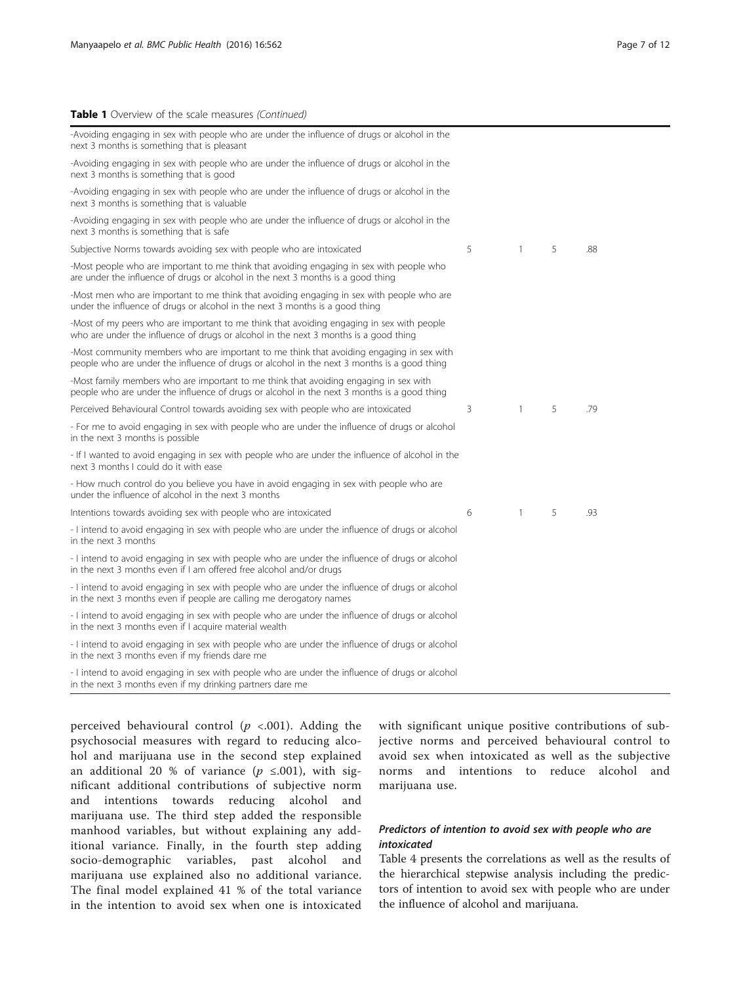#### Table 1 Overview of the scale measures (Continued)

| -Avoiding engaging in sex with people who are under the influence of drugs or alcohol in the<br>next 3 months is something that is pleasant                                             |   |              |   |     |
|-----------------------------------------------------------------------------------------------------------------------------------------------------------------------------------------|---|--------------|---|-----|
| -Avoiding engaging in sex with people who are under the influence of drugs or alcohol in the<br>next 3 months is something that is good                                                 |   |              |   |     |
| -Avoiding engaging in sex with people who are under the influence of drugs or alcohol in the<br>next 3 months is something that is valuable                                             |   |              |   |     |
| -Avoiding engaging in sex with people who are under the influence of drugs or alcohol in the<br>next 3 months is something that is safe                                                 |   |              |   |     |
| Subjective Norms towards avoiding sex with people who are intoxicated                                                                                                                   | 5 | $\mathbf{1}$ | 5 | .88 |
| -Most people who are important to me think that avoiding engaging in sex with people who<br>are under the influence of drugs or alcohol in the next 3 months is a good thing            |   |              |   |     |
| -Most men who are important to me think that avoiding engaging in sex with people who are<br>under the influence of drugs or alcohol in the next 3 months is a good thing               |   |              |   |     |
| -Most of my peers who are important to me think that avoiding engaging in sex with people<br>who are under the influence of drugs or alcohol in the next 3 months is a good thing       |   |              |   |     |
| -Most community members who are important to me think that avoiding engaging in sex with<br>people who are under the influence of drugs or alcohol in the next 3 months is a good thing |   |              |   |     |
| -Most family members who are important to me think that avoiding engaging in sex with<br>people who are under the influence of drugs or alcohol in the next 3 months is a good thing    |   |              |   |     |
| Perceived Behavioural Control towards avoiding sex with people who are intoxicated                                                                                                      | 3 | $\mathbf{1}$ | 5 | .79 |
| - For me to avoid engaging in sex with people who are under the influence of drugs or alcohol<br>in the next 3 months is possible                                                       |   |              |   |     |
| - If I wanted to avoid engaging in sex with people who are under the influence of alcohol in the<br>next 3 months I could do it with ease                                               |   |              |   |     |
| - How much control do you believe you have in avoid engaging in sex with people who are<br>under the influence of alcohol in the next 3 months                                          |   |              |   |     |
| Intentions towards avoiding sex with people who are intoxicated                                                                                                                         | 6 | $\mathbf{1}$ | 5 | .93 |
| - I intend to avoid engaging in sex with people who are under the influence of drugs or alcohol<br>in the next 3 months                                                                 |   |              |   |     |
| - I intend to avoid engaging in sex with people who are under the influence of drugs or alcohol<br>in the next 3 months even if I am offered free alcohol and/or drugs                  |   |              |   |     |
| - I intend to avoid engaging in sex with people who are under the influence of drugs or alcohol<br>in the next 3 months even if people are calling me derogatory names                  |   |              |   |     |
| - I intend to avoid engaging in sex with people who are under the influence of drugs or alcohol<br>in the next 3 months even if I acquire material wealth                               |   |              |   |     |
| - I intend to avoid engaging in sex with people who are under the influence of drugs or alcohol<br>in the next 3 months even if my friends dare me                                      |   |              |   |     |
| - I intend to avoid engaging in sex with people who are under the influence of drugs or alcohol<br>in the next 3 months even if my drinking partners dare me                            |   |              |   |     |

perceived behavioural control ( $p \le 0.001$ ). Adding the psychosocial measures with regard to reducing alcohol and marijuana use in the second step explained an additional 20 % of variance ( $p \le 0.001$ ), with significant additional contributions of subjective norm and intentions towards reducing alcohol and marijuana use. The third step added the responsible manhood variables, but without explaining any additional variance. Finally, in the fourth step adding socio-demographic variables, past alcohol and marijuana use explained also no additional variance. The final model explained 41 % of the total variance in the intention to avoid sex when one is intoxicated

with significant unique positive contributions of subjective norms and perceived behavioural control to avoid sex when intoxicated as well as the subjective norms and intentions to reduce alcohol and marijuana use.

# Predictors of intention to avoid sex with people who are intoxicated

Table [4](#page-8-0) presents the correlations as well as the results of the hierarchical stepwise analysis including the predictors of intention to avoid sex with people who are under the influence of alcohol and marijuana.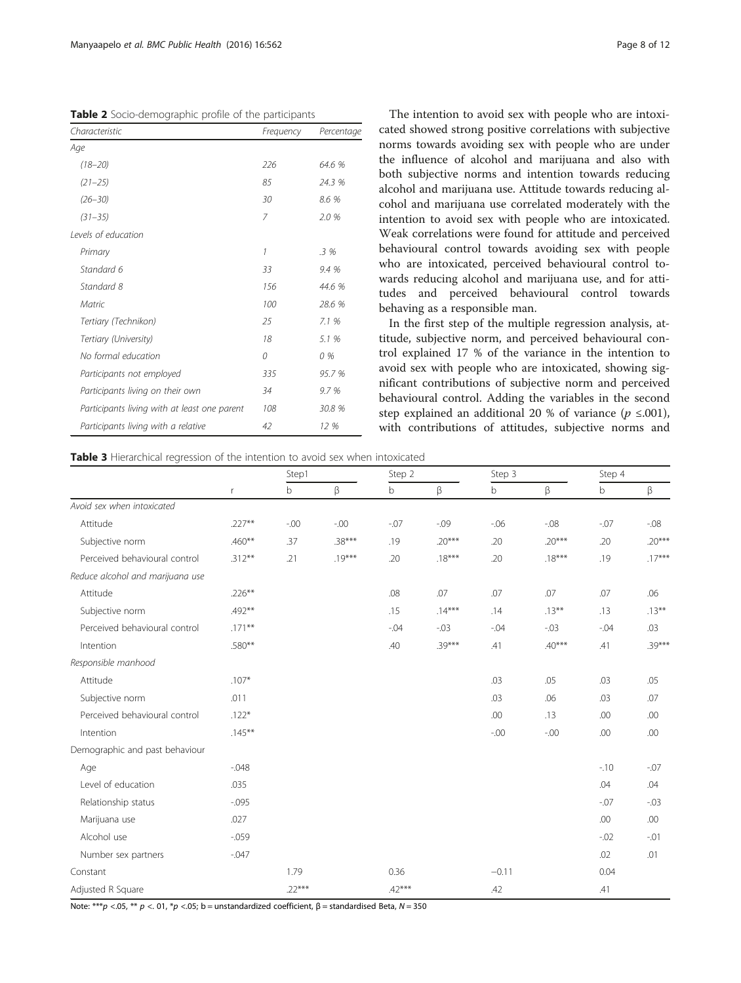<span id="page-7-0"></span>Table 2 Socio-demographic profile of the participants

| Characteristic                               | Frequency | Percentage |
|----------------------------------------------|-----------|------------|
| Age                                          |           |            |
| $(18 - 20)$                                  | 226       | 64.6 %     |
| $(21 - 25)$                                  | 85        | 24.3 %     |
| $(26 - 30)$                                  | 30        | 8.6 %      |
| $(31 - 35)$                                  | 7         | 2.0 %      |
| Levels of education                          |           |            |
| Primary                                      | 1         | $.3\%$     |
| Standard 6                                   | 33        | 9.4 %      |
| Standard 8                                   | 156       | 44.6 %     |
| Matric                                       | 100       | 28.6 %     |
| Tertiary (Technikon)                         | 25        | 7.1%       |
| Tertiary (University)                        | 18        | 5.1 %      |
| No formal education                          | 0         | 0%         |
| Participants not employed                    | 335       | 95.7 %     |
| Participants living on their own             | 34        | 9.7 %      |
| Participants living with at least one parent | 108       | 30.8 %     |
| Participants living with a relative          | 42        | 12 %       |

The intention to avoid sex with people who are intoxicated showed strong positive correlations with subjective

norms towards avoiding sex with people who are under the influence of alcohol and marijuana and also with both subjective norms and intention towards reducing alcohol and marijuana use. Attitude towards reducing alcohol and marijuana use correlated moderately with the intention to avoid sex with people who are intoxicated. Weak correlations were found for attitude and perceived behavioural control towards avoiding sex with people who are intoxicated, perceived behavioural control towards reducing alcohol and marijuana use, and for attitudes and perceived behavioural control towards behaving as a responsible man.

In the first step of the multiple regression analysis, attitude, subjective norm, and perceived behavioural control explained 17 % of the variance in the intention to avoid sex with people who are intoxicated, showing significant contributions of subjective norm and perceived behavioural control. Adding the variables in the second step explained an additional 20 % of variance ( $p \le 0.001$ ), with contributions of attitudes, subjective norms and

Table 3 Hierarchical regression of the intention to avoid sex when intoxicated

|                                  |              | Step1    |          | Step 2   |          | Step 3  |          | Step 4      |          |
|----------------------------------|--------------|----------|----------|----------|----------|---------|----------|-------------|----------|
|                                  | $\mathsf{r}$ | b        | β        | b        | β        | b       | β        | $\mathsf b$ | β        |
| Avoid sex when intoxicated       |              |          |          |          |          |         |          |             |          |
| Attitude                         | $.227**$     | $-.00$   | $-0.00$  | $-0.07$  | $-0.09$  | $-06$   | $-0.08$  | $-0.07$     | $-08$    |
| Subjective norm                  | $.460**$     | .37      | $.38***$ | .19      | $.20***$ | .20     | $.20***$ | .20         | $.20***$ |
| Perceived behavioural control    | $.312***$    | .21      | $.19***$ | .20      | $.18***$ | .20     | $.18***$ | .19         | $.17***$ |
| Reduce alcohol and marijuana use |              |          |          |          |          |         |          |             |          |
| Attitude                         | $.226**$     |          |          | .08      | .07      | .07     | .07      | .07         | .06      |
| Subjective norm                  | .492**       |          |          | .15      | $.14***$ | .14     | $.13***$ | .13         | $.13***$ |
| Perceived behavioural control    | $.171***$    |          |          | $-.04$   | $-0.03$  | $-0.04$ | $-0.03$  | $-0.04$     | .03      |
| Intention                        | .580**       |          |          | .40      | $.39***$ | .41     | $.40***$ | .41         | $.39***$ |
| Responsible manhood              |              |          |          |          |          |         |          |             |          |
| Attitude                         | $.107*$      |          |          |          |          | .03     | .05      | .03         | .05      |
| Subjective norm                  | .011         |          |          |          |          | .03     | .06      | .03         | .07      |
| Perceived behavioural control    | $.122*$      |          |          |          |          | .00     | .13      | .00         | .00      |
| Intention                        | $.145***$    |          |          |          |          | $-0.00$ | $-0.00$  | .00         | .00      |
| Demographic and past behaviour   |              |          |          |          |          |         |          |             |          |
| Age                              | $-0.048$     |          |          |          |          |         |          | $-10$       | $-0.07$  |
| Level of education               | .035         |          |          |          |          |         |          | .04         | .04      |
| Relationship status              | $-0.095$     |          |          |          |          |         |          | $-0.07$     | $-0.03$  |
| Marijuana use                    | .027         |          |          |          |          |         |          | .00         | .00      |
| Alcohol use                      | $-0.059$     |          |          |          |          |         |          | $-0.02$     | $-0.01$  |
| Number sex partners              | $-0.047$     |          |          |          |          |         |          | .02         | .01      |
| Constant                         |              | 1.79     |          | 0.36     |          | $-0.11$ |          | 0.04        |          |
| Adjusted R Square                |              | $.22***$ |          | $.42***$ |          | .42     |          | .41         |          |

Note: \*\*\**p* <.05, \*\* *p* <.01, \**p* <.05; b = unstandardized coefficient, β = standardised Beta, N = 350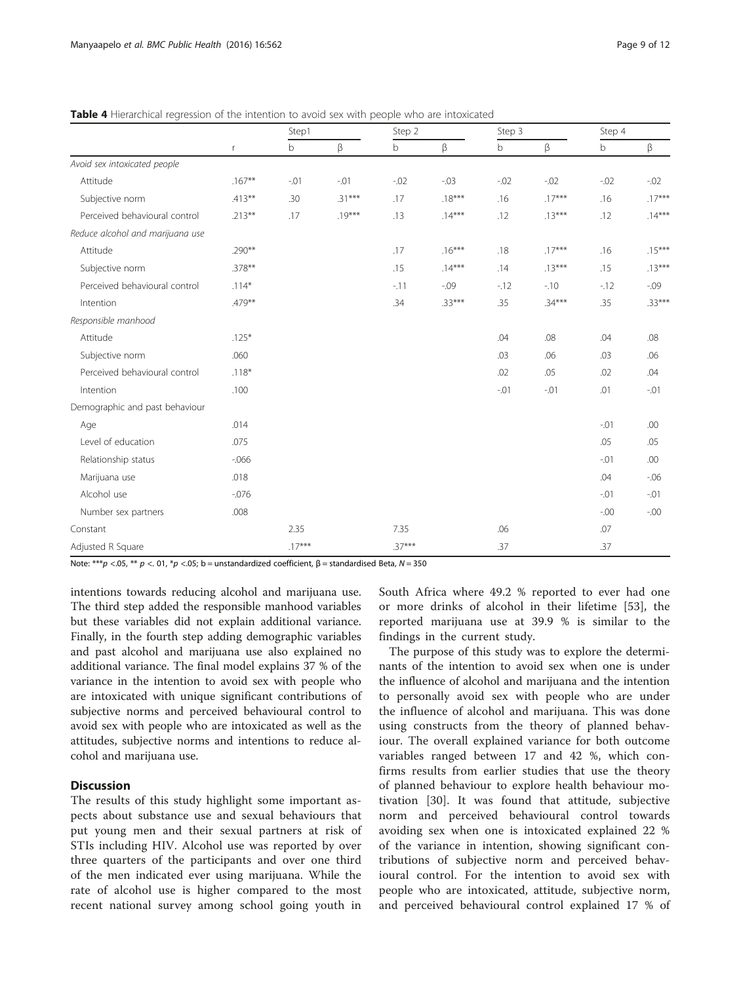|                                  | $\mathsf r$ | Step1    |          | Step 2   |          | Step 3      |          | Step 4      |          |
|----------------------------------|-------------|----------|----------|----------|----------|-------------|----------|-------------|----------|
|                                  |             | b        | β        | b        | β        | $\mathsf b$ | β        | $\mathsf b$ | β        |
| Avoid sex intoxicated people     |             |          |          |          |          |             |          |             |          |
| Attitude                         | $.167***$   | $-0.01$  | $-.01$   | $-0.02$  | $-0.03$  | $-0.02$     | $-0.02$  | $-0.02$     | $-0.02$  |
| Subjective norm                  | $.413***$   | .30      | $.31***$ | .17      | $.18***$ | .16         | $.17***$ | .16         | $.17***$ |
| Perceived behavioural control    | $.213***$   | .17      | $.19***$ | .13      | $.14***$ | .12         | $.13***$ | .12         | $.14***$ |
| Reduce alcohol and marijuana use |             |          |          |          |          |             |          |             |          |
| Attitude                         | $.290***$   |          |          | .17      | $.16***$ | .18         | $.17***$ | .16         | $.15***$ |
| Subjective norm                  | $.378***$   |          |          | .15      | $.14***$ | .14         | $.13***$ | .15         | $.13***$ |
| Perceived behavioural control    | $.114*$     |          |          | $-11$    | $-0.09$  | $-12$       | $-10$    | $-12$       | $-0.09$  |
| Intention                        | .479**      |          |          | .34      | $.33***$ | .35         | $.34***$ | .35         | $.33***$ |
| Responsible manhood              |             |          |          |          |          |             |          |             |          |
| Attitude                         | $.125*$     |          |          |          |          | .04         | .08      | .04         | .08      |
| Subjective norm                  | .060        |          |          |          |          | .03         | .06      | .03         | .06      |
| Perceived behavioural control    | $.118*$     |          |          |          |          | .02         | .05      | .02         | .04      |
| Intention                        | .100        |          |          |          |          | $-.01$      | $-.01$   | .01         | $-.01$   |
| Demographic and past behaviour   |             |          |          |          |          |             |          |             |          |
| Age                              | .014        |          |          |          |          |             |          | $-.01$      | .00      |
| Level of education               | .075        |          |          |          |          |             |          | .05         | .05      |
| Relationship status              | $-0.066$    |          |          |          |          |             |          | $-.01$      | .00      |
| Marijuana use                    | .018        |          |          |          |          |             |          | .04         | $-06$    |
| Alcohol use                      | $-0.076$    |          |          |          |          |             |          | $-.01$      | $-.01$   |
| Number sex partners              | .008        |          |          |          |          |             |          | $-0.00$     | $-0.00$  |
| Constant                         |             | 2.35     |          | 7.35     |          | .06         |          | .07         |          |
| Adjusted R Square                |             | $.17***$ |          | $.37***$ |          | .37         |          | .37         |          |

<span id="page-8-0"></span>Table 4 Hierarchical regression of the intention to avoid sex with people who are intoxicated

Note: \*\*\**p* <.05, \*\* *p* <.01, \**p* <.05; b = unstandardized coefficient, β = standardised Beta, N = 350

intentions towards reducing alcohol and marijuana use. The third step added the responsible manhood variables but these variables did not explain additional variance. Finally, in the fourth step adding demographic variables and past alcohol and marijuana use also explained no additional variance. The final model explains 37 % of the variance in the intention to avoid sex with people who are intoxicated with unique significant contributions of subjective norms and perceived behavioural control to avoid sex with people who are intoxicated as well as the attitudes, subjective norms and intentions to reduce alcohol and marijuana use.

# **Discussion**

The results of this study highlight some important aspects about substance use and sexual behaviours that put young men and their sexual partners at risk of STIs including HIV. Alcohol use was reported by over three quarters of the participants and over one third of the men indicated ever using marijuana. While the rate of alcohol use is higher compared to the most recent national survey among school going youth in

South Africa where 49.2 % reported to ever had one or more drinks of alcohol in their lifetime [[53\]](#page-11-0), the reported marijuana use at 39.9 % is similar to the findings in the current study.

The purpose of this study was to explore the determinants of the intention to avoid sex when one is under the influence of alcohol and marijuana and the intention to personally avoid sex with people who are under the influence of alcohol and marijuana. This was done using constructs from the theory of planned behaviour. The overall explained variance for both outcome variables ranged between 17 and 42 %, which confirms results from earlier studies that use the theory of planned behaviour to explore health behaviour motivation [[30](#page-11-0)]. It was found that attitude, subjective norm and perceived behavioural control towards avoiding sex when one is intoxicated explained 22 % of the variance in intention, showing significant contributions of subjective norm and perceived behavioural control. For the intention to avoid sex with people who are intoxicated, attitude, subjective norm, and perceived behavioural control explained 17 % of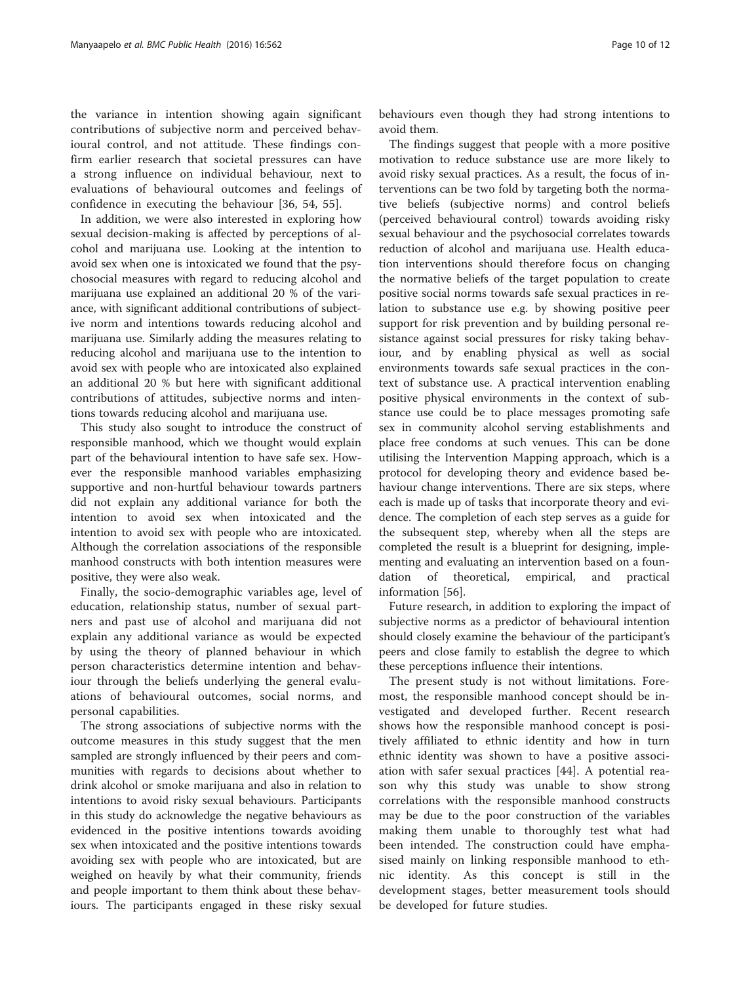the variance in intention showing again significant contributions of subjective norm and perceived behavioural control, and not attitude. These findings confirm earlier research that societal pressures can have a strong influence on individual behaviour, next to evaluations of behavioural outcomes and feelings of confidence in executing the behaviour [\[36](#page-11-0), [54](#page-11-0), [55](#page-11-0)].

In addition, we were also interested in exploring how sexual decision-making is affected by perceptions of alcohol and marijuana use. Looking at the intention to avoid sex when one is intoxicated we found that the psychosocial measures with regard to reducing alcohol and marijuana use explained an additional 20 % of the variance, with significant additional contributions of subjective norm and intentions towards reducing alcohol and marijuana use. Similarly adding the measures relating to reducing alcohol and marijuana use to the intention to avoid sex with people who are intoxicated also explained an additional 20 % but here with significant additional contributions of attitudes, subjective norms and intentions towards reducing alcohol and marijuana use.

This study also sought to introduce the construct of responsible manhood, which we thought would explain part of the behavioural intention to have safe sex. However the responsible manhood variables emphasizing supportive and non-hurtful behaviour towards partners did not explain any additional variance for both the intention to avoid sex when intoxicated and the intention to avoid sex with people who are intoxicated. Although the correlation associations of the responsible manhood constructs with both intention measures were positive, they were also weak.

Finally, the socio-demographic variables age, level of education, relationship status, number of sexual partners and past use of alcohol and marijuana did not explain any additional variance as would be expected by using the theory of planned behaviour in which person characteristics determine intention and behaviour through the beliefs underlying the general evaluations of behavioural outcomes, social norms, and personal capabilities.

The strong associations of subjective norms with the outcome measures in this study suggest that the men sampled are strongly influenced by their peers and communities with regards to decisions about whether to drink alcohol or smoke marijuana and also in relation to intentions to avoid risky sexual behaviours. Participants in this study do acknowledge the negative behaviours as evidenced in the positive intentions towards avoiding sex when intoxicated and the positive intentions towards avoiding sex with people who are intoxicated, but are weighed on heavily by what their community, friends and people important to them think about these behaviours. The participants engaged in these risky sexual

behaviours even though they had strong intentions to avoid them.

The findings suggest that people with a more positive motivation to reduce substance use are more likely to avoid risky sexual practices. As a result, the focus of interventions can be two fold by targeting both the normative beliefs (subjective norms) and control beliefs (perceived behavioural control) towards avoiding risky sexual behaviour and the psychosocial correlates towards reduction of alcohol and marijuana use. Health education interventions should therefore focus on changing the normative beliefs of the target population to create positive social norms towards safe sexual practices in relation to substance use e.g. by showing positive peer support for risk prevention and by building personal resistance against social pressures for risky taking behaviour, and by enabling physical as well as social environments towards safe sexual practices in the context of substance use. A practical intervention enabling positive physical environments in the context of substance use could be to place messages promoting safe sex in community alcohol serving establishments and place free condoms at such venues. This can be done utilising the Intervention Mapping approach, which is a protocol for developing theory and evidence based behaviour change interventions. There are six steps, where each is made up of tasks that incorporate theory and evidence. The completion of each step serves as a guide for the subsequent step, whereby when all the steps are completed the result is a blueprint for designing, implementing and evaluating an intervention based on a foundation of theoretical, empirical, and practical information [\[56](#page-11-0)].

Future research, in addition to exploring the impact of subjective norms as a predictor of behavioural intention should closely examine the behaviour of the participant's peers and close family to establish the degree to which these perceptions influence their intentions.

The present study is not without limitations. Foremost, the responsible manhood concept should be investigated and developed further. Recent research shows how the responsible manhood concept is positively affiliated to ethnic identity and how in turn ethnic identity was shown to have a positive association with safer sexual practices [\[44](#page-11-0)]. A potential reason why this study was unable to show strong correlations with the responsible manhood constructs may be due to the poor construction of the variables making them unable to thoroughly test what had been intended. The construction could have emphasised mainly on linking responsible manhood to ethnic identity. As this concept is still in the development stages, better measurement tools should be developed for future studies.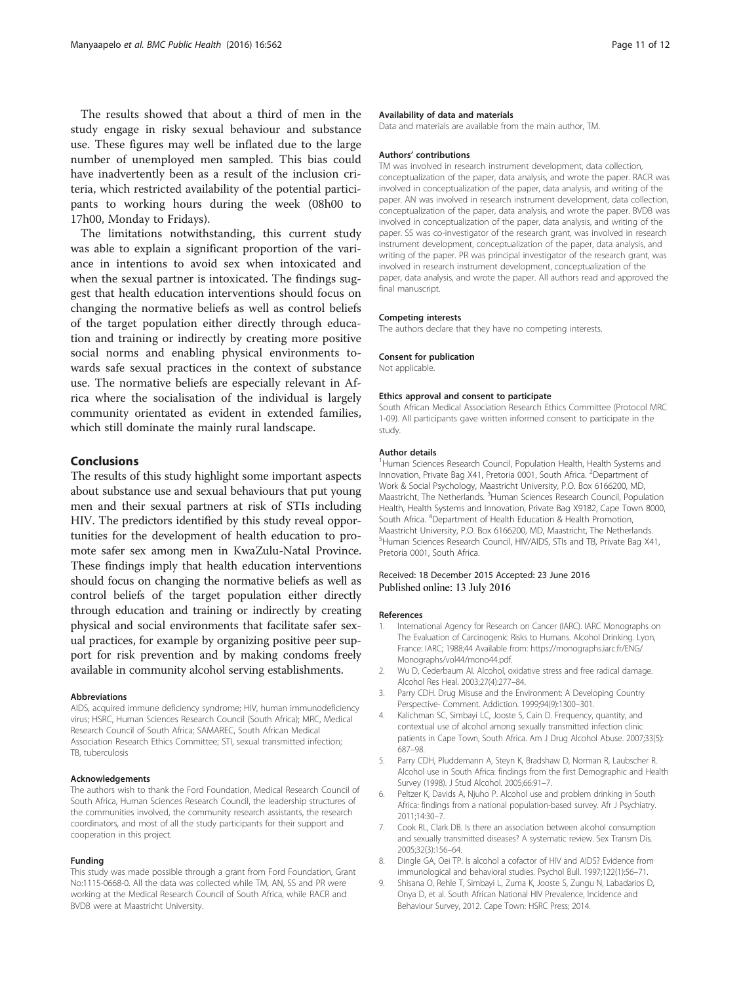<span id="page-10-0"></span>The results showed that about a third of men in the study engage in risky sexual behaviour and substance use. These figures may well be inflated due to the large number of unemployed men sampled. This bias could have inadvertently been as a result of the inclusion criteria, which restricted availability of the potential participants to working hours during the week (08h00 to 17h00, Monday to Fridays).

The limitations notwithstanding, this current study was able to explain a significant proportion of the variance in intentions to avoid sex when intoxicated and when the sexual partner is intoxicated. The findings suggest that health education interventions should focus on changing the normative beliefs as well as control beliefs of the target population either directly through education and training or indirectly by creating more positive social norms and enabling physical environments towards safe sexual practices in the context of substance use. The normative beliefs are especially relevant in Africa where the socialisation of the individual is largely community orientated as evident in extended families, which still dominate the mainly rural landscape.

## Conclusions

The results of this study highlight some important aspects about substance use and sexual behaviours that put young men and their sexual partners at risk of STIs including HIV. The predictors identified by this study reveal opportunities for the development of health education to promote safer sex among men in KwaZulu-Natal Province. These findings imply that health education interventions should focus on changing the normative beliefs as well as control beliefs of the target population either directly through education and training or indirectly by creating physical and social environments that facilitate safer sexual practices, for example by organizing positive peer support for risk prevention and by making condoms freely available in community alcohol serving establishments.

#### Abbreviations

AIDS, acquired immune deficiency syndrome; HIV, human immunodeficiency virus; HSRC, Human Sciences Research Council (South Africa); MRC, Medical Research Council of South Africa; SAMAREC, South African Medical Association Research Ethics Committee; STI, sexual transmitted infection; TB, tuberculosis

#### Acknowledgements

The authors wish to thank the Ford Foundation, Medical Research Council of South Africa, Human Sciences Research Council, the leadership structures of the communities involved, the community research assistants, the research coordinators, and most of all the study participants for their support and cooperation in this project.

#### Funding

This study was made possible through a grant from Ford Foundation, Grant No:1115-0668-0. All the data was collected while TM, AN, SS and PR were working at the Medical Research Council of South Africa, while RACR and BVDB were at Maastricht University.

#### Availability of data and materials

Data and materials are available from the main author, TM.

#### Authors' contributions

TM was involved in research instrument development, data collection, conceptualization of the paper, data analysis, and wrote the paper. RACR was involved in conceptualization of the paper, data analysis, and writing of the paper. AN was involved in research instrument development, data collection, conceptualization of the paper, data analysis, and wrote the paper. BVDB was involved in conceptualization of the paper, data analysis, and writing of the paper. SS was co-investigator of the research grant, was involved in research instrument development, conceptualization of the paper, data analysis, and writing of the paper. PR was principal investigator of the research grant, was involved in research instrument development, conceptualization of the paper, data analysis, and wrote the paper. All authors read and approved the final manuscript.

#### Competing interests

The authors declare that they have no competing interests.

#### Consent for publication

Not applicable.

#### Ethics approval and consent to participate

South African Medical Association Research Ethics Committee (Protocol MRC 1-09). All participants gave written informed consent to participate in the study.

#### Author details

<sup>1</sup>Human Sciences Research Council, Population Health, Health Systems and Innovation, Private Bag X41, Pretoria 0001, South Africa. <sup>2</sup>Department of Work & Social Psychology, Maastricht University, P.O. Box 6166200, MD, Maastricht, The Netherlands. <sup>3</sup> Human Sciences Research Council, Population Health, Health Systems and Innovation, Private Bag X9182, Cape Town 8000, South Africa. <sup>4</sup> Department of Health Education & Health Promotion, Maastricht University, P.O. Box 6166200, MD, Maastricht, The Netherlands. <sup>5</sup>Human Sciences Research Council, HIV/AIDS, STIs and TB, Private Bag X41 Pretoria 0001, South Africa.

#### Received: 18 December 2015 Accepted: 23 June 2016 Published online: 13 July 2016

#### References

- 1. International Agency for Research on Cancer (IARC). IARC Monographs on The Evaluation of Carcinogenic Risks to Humans. Alcohol Drinking. Lyon, France: IARC; 1988;44 Available from: [https://monographs.iarc.fr/ENG/](https://monographs.iarc.fr/ENG/Monographs/vol44/mono44.pdf) [Monographs/vol44/mono44.pdf.](https://monographs.iarc.fr/ENG/Monographs/vol44/mono44.pdf)
- 2. Wu D, Cederbaum AI. Alcohol, oxidative stress and free radical damage. Alcohol Res Heal. 2003;27(4):277–84.
- 3. Parry CDH. Drug Misuse and the Environment: A Developing Country Perspective- Comment. Addiction. 1999;94(9):1300–301.
- 4. Kalichman SC, Simbayi LC, Jooste S, Cain D. Frequency, quantity, and contextual use of alcohol among sexually transmitted infection clinic patients in Cape Town, South Africa. Am J Drug Alcohol Abuse. 2007;33(5): 687–98.
- 5. Parry CDH, Pluddemann A, Steyn K, Bradshaw D, Norman R, Laubscher R. Alcohol use in South Africa: findings from the first Demographic and Health Survey (1998). J Stud Alcohol. 2005;66:91–7.
- 6. Peltzer K, Davids A, Njuho P. Alcohol use and problem drinking in South Africa: findings from a national population-based survey. Afr J Psychiatry. 2011;14:30–7.
- 7. Cook RL, Clark DB. Is there an association between alcohol consumption and sexually transmitted diseases? A systematic review. Sex Transm Dis. 2005;32(3):156–64.
- 8. Dingle GA, Oei TP. Is alcohol a cofactor of HIV and AIDS? Evidence from immunological and behavioral studies. Psychol Bull. 1997;122(1):56–71.
- 9. Shisana O, Rehle T, Simbayi L, Zuma K, Jooste S, Zungu N, Labadarios D, Onya D, et al. South African National HIV Prevalence, Incidence and Behaviour Survey, 2012. Cape Town: HSRC Press; 2014.